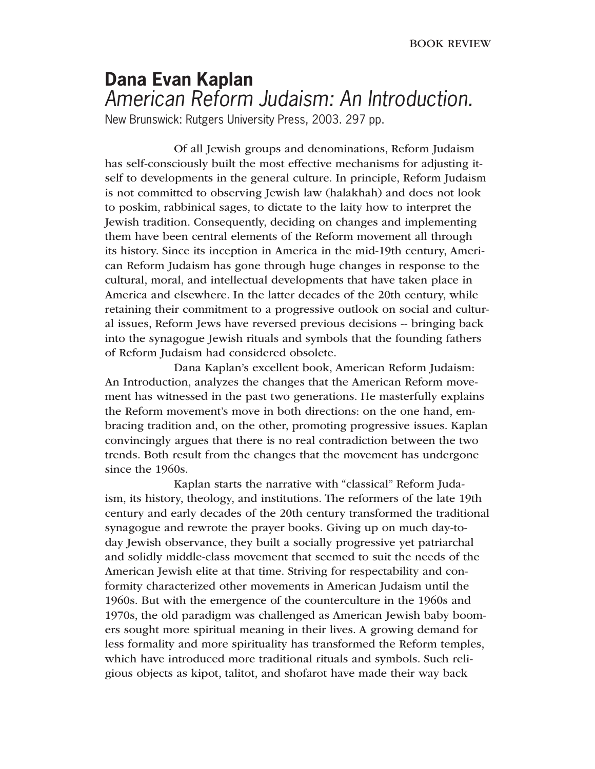## **Dana Evan Kaplan** American Reform Judaism: An Introduction.

New Brunswick: Rutgers University Press, 2003. 297 pp.

 Of all Jewish groups and denominations, Reform Judaism has self-consciously built the most effective mechanisms for adjusting itself to developments in the general culture. In principle, Reform Judaism is not committed to observing Jewish law (halakhah) and does not look to poskim, rabbinical sages, to dictate to the laity how to interpret the Jewish tradition. Consequently, deciding on changes and implementing them have been central elements of the Reform movement all through its history. Since its inception in America in the mid-19th century, American Reform Judaism has gone through huge changes in response to the cultural, moral, and intellectual developments that have taken place in America and elsewhere. In the latter decades of the 20th century, while retaining their commitment to a progressive outlook on social and cultural issues, Reform Jews have reversed previous decisions -- bringing back into the synagogue Jewish rituals and symbols that the founding fathers of Reform Judaism had considered obsolete.

 Dana Kaplan's excellent book, American Reform Judaism: An Introduction, analyzes the changes that the American Reform movement has witnessed in the past two generations. He masterfully explains the Reform movement's move in both directions: on the one hand, embracing tradition and, on the other, promoting progressive issues. Kaplan convincingly argues that there is no real contradiction between the two trends. Both result from the changes that the movement has undergone since the 1960s.

 Kaplan starts the narrative with "classical" Reform Judaism, its history, theology, and institutions. The reformers of the late 19th century and early decades of the 20th century transformed the traditional synagogue and rewrote the prayer books. Giving up on much day-today Jewish observance, they built a socially progressive yet patriarchal and solidly middle-class movement that seemed to suit the needs of the American Jewish elite at that time. Striving for respectability and conformity characterized other movements in American Judaism until the 1960s. But with the emergence of the counterculture in the 1960s and 1970s, the old paradigm was challenged as American Jewish baby boomers sought more spiritual meaning in their lives. A growing demand for less formality and more spirituality has transformed the Reform temples, which have introduced more traditional rituals and symbols. Such religious objects as kipot, talitot, and shofarot have made their way back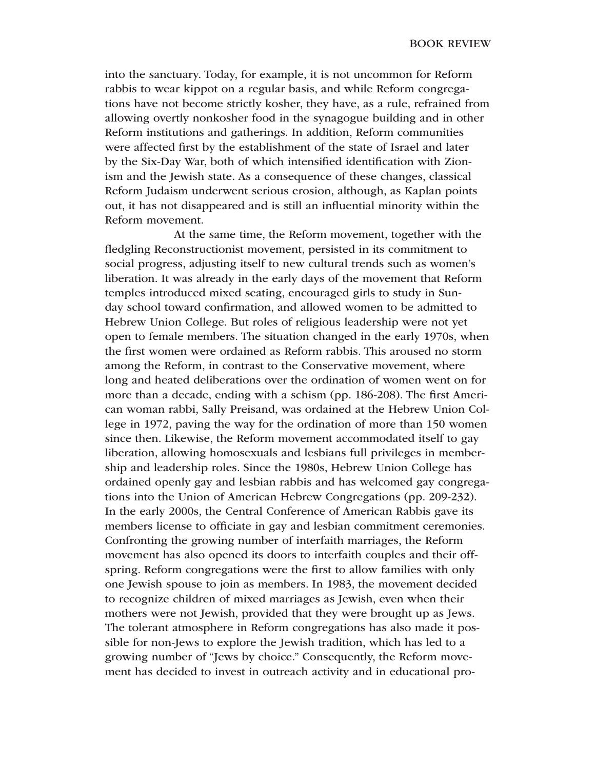into the sanctuary. Today, for example, it is not uncommon for Reform rabbis to wear kippot on a regular basis, and while Reform congregations have not become strictly kosher, they have, as a rule, refrained from allowing overtly nonkosher food in the synagogue building and in other Reform institutions and gatherings. In addition, Reform communities were affected first by the establishment of the state of Israel and later by the Six-Day War, both of which intensified identification with Zionism and the Jewish state. As a consequence of these changes, classical Reform Judaism underwent serious erosion, although, as Kaplan points out, it has not disappeared and is still an influential minority within the Reform movement.

 At the same time, the Reform movement, together with the fledgling Reconstructionist movement, persisted in its commitment to social progress, adjusting itself to new cultural trends such as women's liberation. It was already in the early days of the movement that Reform temples introduced mixed seating, encouraged girls to study in Sunday school toward confirmation, and allowed women to be admitted to Hebrew Union College. But roles of religious leadership were not yet open to female members. The situation changed in the early 1970s, when the first women were ordained as Reform rabbis. This aroused no storm among the Reform, in contrast to the Conservative movement, where long and heated deliberations over the ordination of women went on for more than a decade, ending with a schism (pp. 186-208). The first American woman rabbi, Sally Preisand, was ordained at the Hebrew Union College in 1972, paving the way for the ordination of more than 150 women since then. Likewise, the Reform movement accommodated itself to gay liberation, allowing homosexuals and lesbians full privileges in membership and leadership roles. Since the 1980s, Hebrew Union College has ordained openly gay and lesbian rabbis and has welcomed gay congregations into the Union of American Hebrew Congregations (pp. 209-232). In the early 2000s, the Central Conference of American Rabbis gave its members license to officiate in gay and lesbian commitment ceremonies. Confronting the growing number of interfaith marriages, the Reform movement has also opened its doors to interfaith couples and their offspring. Reform congregations were the first to allow families with only one Jewish spouse to join as members. In 1983, the movement decided to recognize children of mixed marriages as Jewish, even when their mothers were not Jewish, provided that they were brought up as Jews. The tolerant atmosphere in Reform congregations has also made it possible for non-Jews to explore the Jewish tradition, which has led to a growing number of "Jews by choice." Consequently, the Reform movement has decided to invest in outreach activity and in educational pro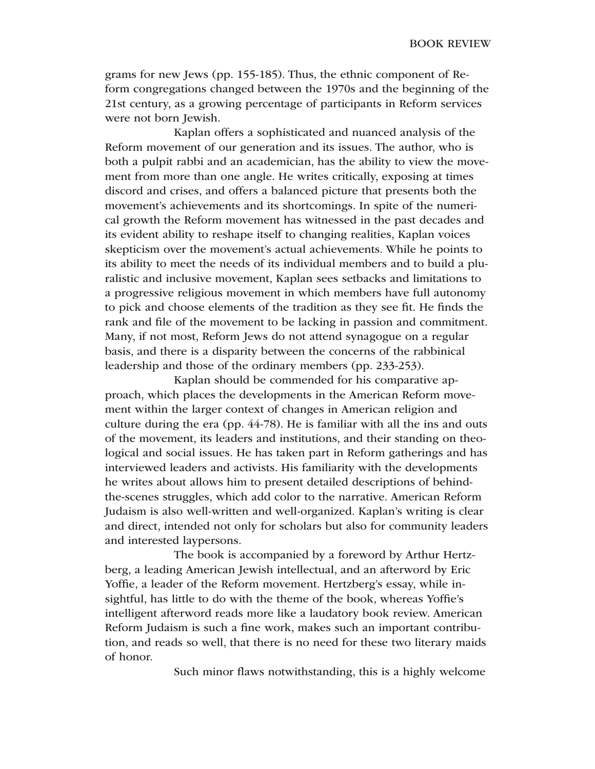grams for new Jews (pp. 155-185). Thus, the ethnic component of Reform congregations changed between the 1970s and the beginning of the 21st century, as a growing percentage of participants in Reform services were not born Jewish.

 Kaplan offers a sophisticated and nuanced analysis of the Reform movement of our generation and its issues. The author, who is both a pulpit rabbi and an academician, has the ability to view the movement from more than one angle. He writes critically, exposing at times discord and crises, and offers a balanced picture that presents both the movement's achievements and its shortcomings. In spite of the numerical growth the Reform movement has witnessed in the past decades and its evident ability to reshape itself to changing realities, Kaplan voices skepticism over the movement's actual achievements. While he points to its ability to meet the needs of its individual members and to build a pluralistic and inclusive movement, Kaplan sees setbacks and limitations to a progressive religious movement in which members have full autonomy to pick and choose elements of the tradition as they see fit. He finds the rank and file of the movement to be lacking in passion and commitment. Many, if not most, Reform Jews do not attend synagogue on a regular basis, and there is a disparity between the concerns of the rabbinical leadership and those of the ordinary members (pp. 233-253).

 Kaplan should be commended for his comparative approach, which places the developments in the American Reform movement within the larger context of changes in American religion and culture during the era (pp. 44-78). He is familiar with all the ins and outs of the movement, its leaders and institutions, and their standing on theological and social issues. He has taken part in Reform gatherings and has interviewed leaders and activists. His familiarity with the developments he writes about allows him to present detailed descriptions of behindthe-scenes struggles, which add color to the narrative. American Reform Judaism is also well-written and well-organized. Kaplan's writing is clear and direct, intended not only for scholars but also for community leaders and interested laypersons.

 The book is accompanied by a foreword by Arthur Hertzberg, a leading American Jewish intellectual, and an afterword by Eric Yoffie, a leader of the Reform movement. Hertzberg's essay, while insightful, has little to do with the theme of the book, whereas Yoffie's intelligent afterword reads more like a laudatory book review. American Reform Judaism is such a fine work, makes such an important contribution, and reads so well, that there is no need for these two literary maids of honor.

Such minor flaws notwithstanding, this is a highly welcome